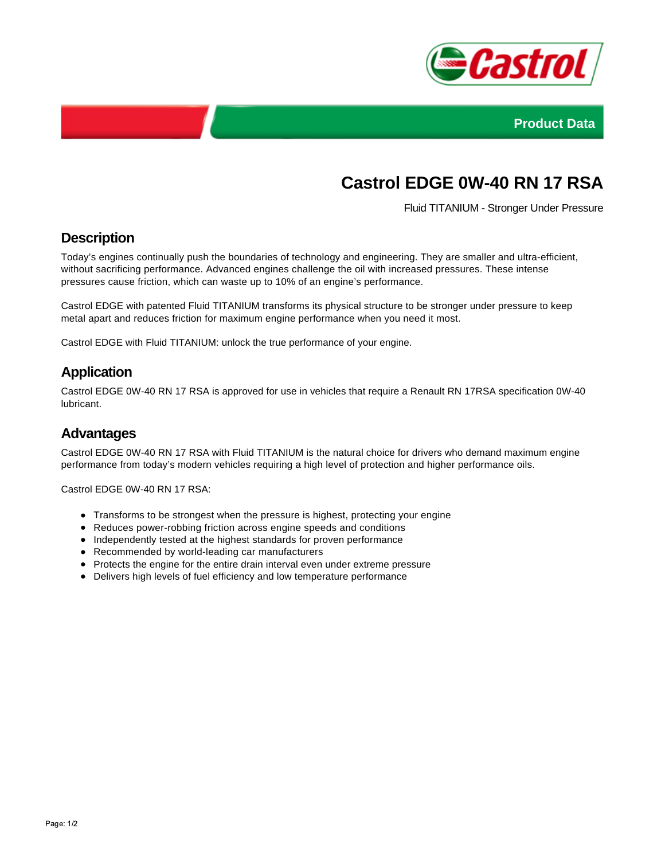



# **Castrol EDGE 0W-40 RN 17 RSA**

Fluid TITANIUM - Stronger Under Pressure

# **Description**

Today's engines continually push the boundaries of technology and engineering. They are smaller and ultra-efficient, without sacrificing performance. Advanced engines challenge the oil with increased pressures. These intense pressures cause friction, which can waste up to 10% of an engine's performance.

Castrol EDGE with patented Fluid TITANIUM transforms its physical structure to be stronger under pressure to keep metal apart and reduces friction for maximum engine performance when you need it most.

Castrol EDGE with Fluid TITANIUM: unlock the true performance of your engine.

# **Application**

Castrol EDGE 0W-40 RN 17 RSA is approved for use in vehicles that require a Renault RN 17RSA specification 0W-40 lubricant.

#### **Advantages**

Castrol EDGE 0W-40 RN 17 RSA with Fluid TITANIUM is the natural choice for drivers who demand maximum engine performance from today's modern vehicles requiring a high level of protection and higher performance oils.

Castrol EDGE 0W-40 RN 17 RSA:

- Transforms to be strongest when the pressure is highest, protecting your engine
- Reduces power-robbing friction across engine speeds and conditions
- Independently tested at the highest standards for proven performance
- Recommended by world-leading car manufacturers
- Protects the engine for the entire drain interval even under extreme pressure
- Delivers high levels of fuel efficiency and low temperature performance